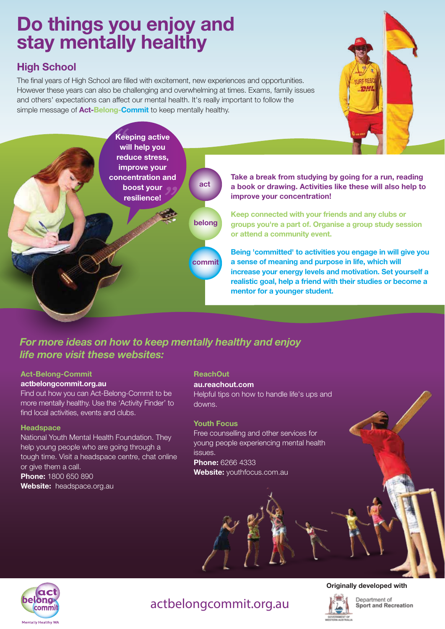# Do things you enjoy and stay mentally healthy

## High School

The final years of High School are filled with excitement, new experiences and opportunities. However these years can also be challenging and overwhelming at times. Exams, family issues and others' expectations can affect our mental health. It's really important to follow the simple message of **Act-Belong-Commit** to keep mentally healthy.





Take a break from studying by going for a run, reading a book or drawing. Activities like these will also help to improve your concentration!

Keep connected with your friends and any clubs or groups you're a part of. Organise a group study session or attend a community event.

Being 'committed' to activities you engage in will give you a sense of meaning and purpose in life, which will increase your energy levels and motivation. Set yourself a realistic goal, help a friend with their studies or become a mentor for a younger student.

## *For more ideas on how to keep mentally healthy and enjoy life more visit these websites:*

## Act-Belong-Commit

#### actbelongcommit.org.au

Find out how you can Act-Belong-Commit to be more mentally healthy. Use the 'Activity Finder' to find local activities, events and clubs.

#### **Headspace**

National Youth Mental Health Foundation. They help young people who are going through a tough time. Visit a headspace centre, chat online or give them a call. Phone: 1800 650 890

Website: headspace.org.au

#### ReachOut

#### au.reachout.com

Helpful tips on how to handle life's ups and downs.

#### Youth Focus

Free counselling and other services for young people experiencing mental health issues. **Phone: 6266 4333** Website: youthfocus.com.au



### Originally developed with



Department of Sport and Recreation

# actbelongcommit.org.au